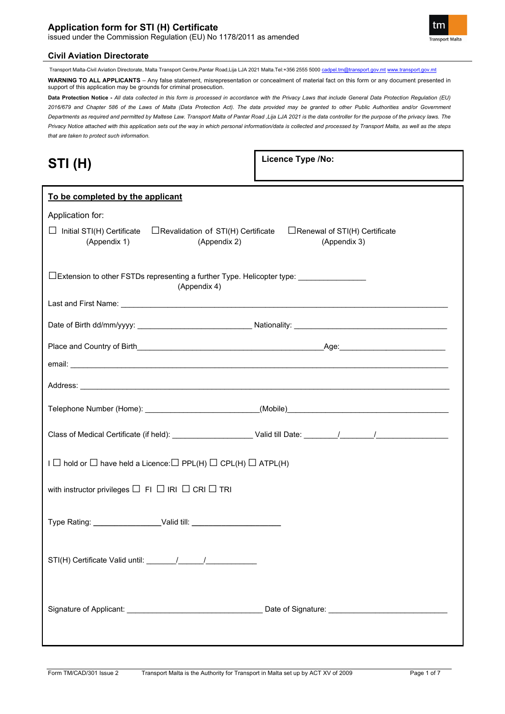# **Application form for STI (H) Certificate**

issued under the Commission Regulation (EU) No 1178/2011 as amended



Transport Malta-Civil Aviation Directorate, Malta Transport Centre,Pantar Road,Lija LJA 2021 Malta.Tel:+356 2555 5000 [cadpel.tm@transport.gov.mt](mailto:cadpel.tm@transport.gov.mt) [www.transport.gov.mt](http://www.transport.gov.mt/)

**WARNING TO ALL APPLICANTS** – Any false statement, misrepresentation or concealment of material fact on this form or any document presented in support of this application may be grounds for criminal prosecution.

**Data Protection Notice -** *All data collected in this form is processed in accordance with the Privacy Laws that include General Data Protection Regulation (EU) 2016/679 and Chapter 586 of the Laws of Malta (Data Protection Act). The data provided may be granted to other Public Authorities and/or Government Departments as required and permitted by Maltese Law. Transport Malta of Pantar Road ,Lija LJA 2021 is the data controller for the purpose of the privacy laws. The Privacy Notice attached with this application sets out the way in which personal information/data is collected and processed by Transport Malta, as well as the steps that are taken to protect such information.*

| ш | ٦.<br>/  <br>,<br>. . | 1) |
|---|-----------------------|----|
|---|-----------------------|----|

**Licence Type /No:** 

| To be completed by the applicant                                                                               |                                                      |
|----------------------------------------------------------------------------------------------------------------|------------------------------------------------------|
| Application for:                                                                                               |                                                      |
| $\Box$ Initial STI(H) Certificate<br>$\Box$ Revalidation of STI(H) Certificate<br>(Appendix 1)<br>(Appendix 2) | $\Box$ Renewal of STI(H) Certificate<br>(Appendix 3) |
| $\Box$ Extension to other FSTDs representing a further Type. Helicopter type: _______________<br>(Appendix 4)  |                                                      |
|                                                                                                                |                                                      |
|                                                                                                                |                                                      |
|                                                                                                                |                                                      |
|                                                                                                                |                                                      |
|                                                                                                                |                                                      |
|                                                                                                                |                                                      |
| $I \square$ hold or $\square$ have held a Licence: $\square$ PPL(H) $\square$ CPL(H) $\square$ ATPL(H)         |                                                      |
| with instructor privileges $\Box$ FI $\Box$ IRI $\Box$ CRI $\Box$ TRI                                          |                                                      |
|                                                                                                                |                                                      |
|                                                                                                                |                                                      |
|                                                                                                                |                                                      |

**Transport Malta**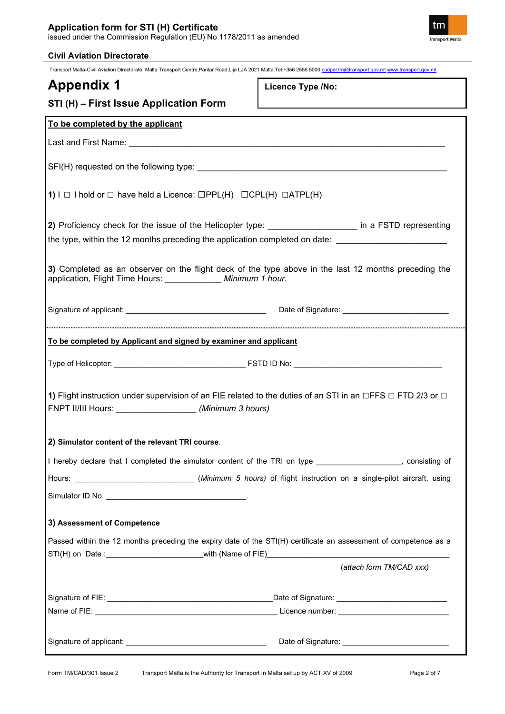## **Application form for STI (H) Certificate** issued under the Commission Regulation (EU) No 1178/2011 as amended



| <b>Civil Aviation Directorate</b>                                                                                                                                                   |                          |
|-------------------------------------------------------------------------------------------------------------------------------------------------------------------------------------|--------------------------|
| Transport Malta-Civil Aviation Directorate, Malta Transport Centre, Pantar Road, Lija LJA 2021 Malta. Tel: +356 2555 5000 cadpel.tm@transport.gov.mt www.transport.gov.mt           |                          |
| <b>Appendix 1</b>                                                                                                                                                                   | <b>Licence Type /No:</b> |
| STI (H) - First Issue Application Form                                                                                                                                              |                          |
| To be completed by the applicant                                                                                                                                                    |                          |
|                                                                                                                                                                                     |                          |
|                                                                                                                                                                                     |                          |
| 1) $I \Box$ I hold or $\Box$ have held a Licence: $\Box PPL(H) \Box CPL(H) \Box ATPL(H)$                                                                                            |                          |
| 2) Proficiency check for the issue of the Helicopter type: in a FSTD representing                                                                                                   |                          |
| the type, within the 12 months preceding the application completed on date:                                                                                                         |                          |
|                                                                                                                                                                                     |                          |
| 3) Completed as an observer on the flight deck of the type above in the last 12 months preceding the<br>application, Flight Time Hours: _____________ Minimum 1 hour.               |                          |
|                                                                                                                                                                                     |                          |
| To be completed by Applicant and signed by examiner and applicant                                                                                                                   |                          |
|                                                                                                                                                                                     |                          |
| <b>1)</b> Flight instruction under supervision of an FIE related to the duties of an STI in an ⊡FFS $□$ FTD 2/3 or $□$<br>FNPT II/III Hours: _____________________(Minimum 3 hours) |                          |
| 2) Simulator content of the relevant TRI course.                                                                                                                                    |                          |
| I hereby declare that I completed the simulator content of the TRI on type _________________, consisting of                                                                         |                          |
| Hours: ___________________________________(Minimum 5 hours) of flight instruction on a single-pilot aircraft, using                                                                 |                          |
|                                                                                                                                                                                     |                          |
| 3) Assessment of Competence                                                                                                                                                         |                          |
| Passed within the 12 months preceding the expiry date of the STI(H) certificate an assessment of competence as a                                                                    |                          |
|                                                                                                                                                                                     |                          |
|                                                                                                                                                                                     | (attach form TM/CAD xxx) |
|                                                                                                                                                                                     |                          |
|                                                                                                                                                                                     |                          |
|                                                                                                                                                                                     |                          |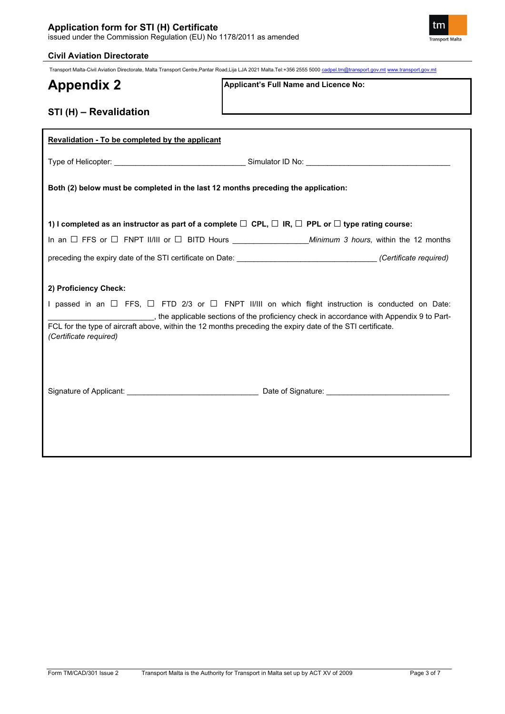

## **Civil Aviation Directorate**

Transport Malta-Civil Aviation Directorate, Malta Transport Centre,Pantar Road,Lija LJA 2021 Malta.Tel:+356 2555 5000 [cadpel.tm@transport.gov.mt](mailto:cadpel.tm@transport.gov.mt) [www.transport.gov.mt](http://www.transport.gov.mt/)

# **Appendix 2**

**Applicant's Full Name and Licence No:**

# **STI (H) – Revalidation**

| Revalidation - To be completed by the applicant                                                                                                               |                                                                                                                                                                                                                         |
|---------------------------------------------------------------------------------------------------------------------------------------------------------------|-------------------------------------------------------------------------------------------------------------------------------------------------------------------------------------------------------------------------|
|                                                                                                                                                               |                                                                                                                                                                                                                         |
| Both (2) below must be completed in the last 12 months preceding the application:                                                                             |                                                                                                                                                                                                                         |
| 1) I completed as an instructor as part of a complete $\square$ CPL, $\square$ IR, $\square$ PPL or $\square$ type rating course:                             |                                                                                                                                                                                                                         |
|                                                                                                                                                               |                                                                                                                                                                                                                         |
|                                                                                                                                                               | preceding the expiry date of the STI certificate on Date: __________________________________(Certificate required)                                                                                                      |
| 2) Proficiency Check:<br>FCL for the type of aircraft above, within the 12 months preceding the expiry date of the STI certificate.<br>(Certificate required) | I passed in an $\Box$ FFS, $\Box$ FTD 2/3 or $\Box$ FNPT II/III on which flight instruction is conducted on Date:<br>_________, the applicable sections of the proficiency check in accordance with Appendix 9 to Part- |
|                                                                                                                                                               |                                                                                                                                                                                                                         |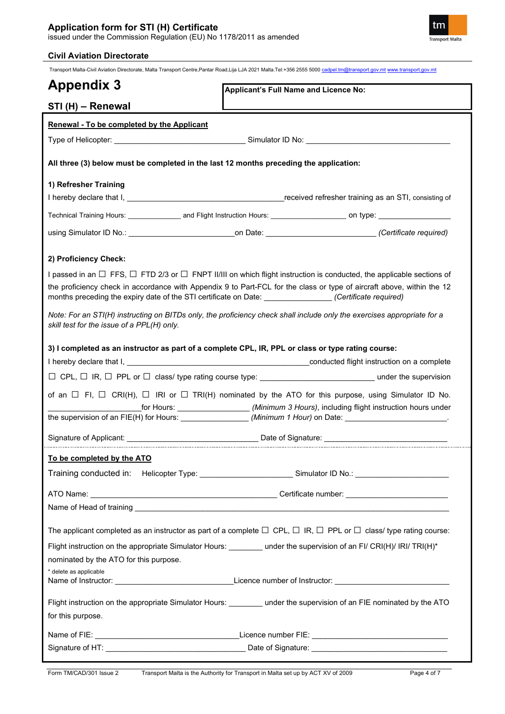# **Application form for STI (H) Certificate**

issued under the Commission Regulation (EU) No 1178/2011 as amended

## **Civil Aviation Directorate**

Transport Malta-Civil Aviation Directorate, Malta Transport Centre,Pantar Road,Lija LJA 2021 Malta.Tel:+356 2555 5000 [cadpel.tm@transport.gov.mt](mailto:cadpel.tm@transport.gov.mt) [www.transport.gov.mt](http://www.transport.gov.mt/)

| <b>Appendix 3</b>                                                                      | Applicant's Full Name and Licence No:                                                                                                                                                                                                                                                                                                                                     |
|----------------------------------------------------------------------------------------|---------------------------------------------------------------------------------------------------------------------------------------------------------------------------------------------------------------------------------------------------------------------------------------------------------------------------------------------------------------------------|
| STI (H) - Renewal                                                                      |                                                                                                                                                                                                                                                                                                                                                                           |
| Renewal - To be completed by the Applicant                                             |                                                                                                                                                                                                                                                                                                                                                                           |
|                                                                                        |                                                                                                                                                                                                                                                                                                                                                                           |
| All three (3) below must be completed in the last 12 months preceding the application: |                                                                                                                                                                                                                                                                                                                                                                           |
| 1) Refresher Training                                                                  |                                                                                                                                                                                                                                                                                                                                                                           |
|                                                                                        |                                                                                                                                                                                                                                                                                                                                                                           |
|                                                                                        | Technical Training Hours: _________________ and Flight Instruction Hours: ________________________ on type: ___________________________                                                                                                                                                                                                                                   |
|                                                                                        | using Simulator ID No.: _________________________________on Date: ______________________________(Certificate required)                                                                                                                                                                                                                                                    |
| 2) Proficiency Check:                                                                  |                                                                                                                                                                                                                                                                                                                                                                           |
|                                                                                        | I passed in an $\Box$ FFS, $\Box$ FTD 2/3 or $\Box$ FNPT II/III on which flight instruction is conducted, the applicable sections of<br>the proficiency check in accordance with Appendix 9 to Part-FCL for the class or type of aircraft above, within the 12<br>months preceding the expiry date of the STI certificate on Date: ________________(Certificate required) |
| skill test for the issue of a PPL(H) only.                                             | Note: For an STI(H) instructing on BITDs only, the proficiency check shall include only the exercises appropriate for a                                                                                                                                                                                                                                                   |
|                                                                                        | 3) I completed as an instructor as part of a complete CPL, IR, PPL or class or type rating course:                                                                                                                                                                                                                                                                        |
|                                                                                        |                                                                                                                                                                                                                                                                                                                                                                           |
|                                                                                        |                                                                                                                                                                                                                                                                                                                                                                           |
|                                                                                        | $\Box$ CPL, $\Box$ IR, $\Box$ PPL or $\Box$ class/ type rating course type: __________________________________under the supervision                                                                                                                                                                                                                                       |
|                                                                                        | of an $\Box$ FI, $\Box$ CRI(H), $\Box$ IRI or $\Box$ TRI(H) nominated by the ATO for this purpose, using Simulator ID No.<br>_for Hours: _____________________(Minimum 3 Hours), including flight instruction hours under<br>the supervision of an FIE(H) for Hours: ___________________(Minimum 1 Hour) on Date: _________________________                               |
|                                                                                        | Signature of Applicant: Department of Applicant: Date of Signature:                                                                                                                                                                                                                                                                                                       |
| To be completed by the ATO                                                             |                                                                                                                                                                                                                                                                                                                                                                           |
|                                                                                        | Training conducted in: Helicopter Type: _________________________Simulator ID No.: _______________________                                                                                                                                                                                                                                                                |
|                                                                                        |                                                                                                                                                                                                                                                                                                                                                                           |
|                                                                                        |                                                                                                                                                                                                                                                                                                                                                                           |
|                                                                                        | The applicant completed as an instructor as part of a complete $\Box$ CPL, $\Box$ IR, $\Box$ PPL or $\Box$ class/ type rating course:                                                                                                                                                                                                                                     |
|                                                                                        | Flight instruction on the appropriate Simulator Hours: _______ under the supervision of an FI/ CRI(H)/ IRI/ TRI(H)*                                                                                                                                                                                                                                                       |
| nominated by the ATO for this purpose.                                                 |                                                                                                                                                                                                                                                                                                                                                                           |
| * delete as applicable                                                                 |                                                                                                                                                                                                                                                                                                                                                                           |
| for this purpose.                                                                      | Flight instruction on the appropriate Simulator Hours: ________ under the supervision of an FIE nominated by the ATO                                                                                                                                                                                                                                                      |
|                                                                                        |                                                                                                                                                                                                                                                                                                                                                                           |

tm Transport Malta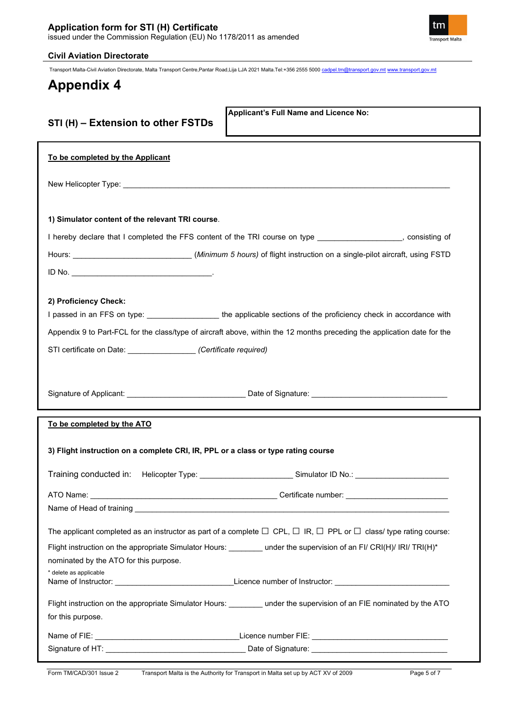

## **Civil Aviation Directorate**

Transport Malta-Civil Aviation Directorate, Malta Transport Centre,Pantar Road,Lija LJA 2021 Malta.Tel:+356 2555 5000 [cadpel.tm@transport.gov.mt](mailto:cadpel.tm@transport.gov.mt) [www.transport.gov.mt](http://www.transport.gov.mt/)

# **Appendix 4**

|  | STI (H) - Extension to other FSTDs |  |  |
|--|------------------------------------|--|--|
|  |                                    |  |  |

**Applicant's Full Name and Licence No:**

| To be completed by the Applicant                                        |                                                                                                                                                                                                                                |
|-------------------------------------------------------------------------|--------------------------------------------------------------------------------------------------------------------------------------------------------------------------------------------------------------------------------|
|                                                                         |                                                                                                                                                                                                                                |
| 1) Simulator content of the relevant TRI course.                        |                                                                                                                                                                                                                                |
|                                                                         | I hereby declare that I completed the FFS content of the TRI course on type _________________, consisting of                                                                                                                   |
|                                                                         | Hours: ______________________________(Minimum 5 hours) of flight instruction on a single-pilot aircraft, using FSTD                                                                                                            |
|                                                                         |                                                                                                                                                                                                                                |
| 2) Proficiency Check:                                                   |                                                                                                                                                                                                                                |
|                                                                         | I passed in an FFS on type: ___________________the applicable sections of the proficiency check in accordance with                                                                                                             |
|                                                                         | Appendix 9 to Part-FCL for the class/type of aircraft above, within the 12 months preceding the application date for the                                                                                                       |
| STI certificate on Date: _______________________ (Certificate required) |                                                                                                                                                                                                                                |
|                                                                         |                                                                                                                                                                                                                                |
|                                                                         | Signature of Applicant: ___________________________________Date of Signature: ________________________________                                                                                                                 |
|                                                                         |                                                                                                                                                                                                                                |
| To be completed by the ATO                                              |                                                                                                                                                                                                                                |
|                                                                         |                                                                                                                                                                                                                                |
|                                                                         | 3) Flight instruction on a complete CRI, IR, PPL or a class or type rating course                                                                                                                                              |
|                                                                         | Training conducted in: Helicopter Type: Samulator ID No.: Conduction of D. No.: Conducted in: Nelicopter Type: Conducted in: Nelicopter Type: Conducted in: Nelicopter Type: Conducted in: Nelicopter Section 2014 19:00: Cond |
|                                                                         |                                                                                                                                                                                                                                |
|                                                                         |                                                                                                                                                                                                                                |
|                                                                         | The applicant completed as an instructor as part of a complete $\Box$ CPL, $\Box$ IR, $\Box$ PPL or $\Box$ class/ type rating course:                                                                                          |
|                                                                         | Flight instruction on the appropriate Simulator Hours: _______ under the supervision of an FI/ CRI(H)/ IRI/ TRI(H)*                                                                                                            |
| nominated by the ATO for this purpose.                                  |                                                                                                                                                                                                                                |
| * delete as applicable                                                  |                                                                                                                                                                                                                                |
|                                                                         | Flight instruction on the appropriate Simulator Hours: _______ under the supervision of an FIE nominated by the ATO                                                                                                            |
| for this purpose.                                                       |                                                                                                                                                                                                                                |
|                                                                         |                                                                                                                                                                                                                                |
|                                                                         |                                                                                                                                                                                                                                |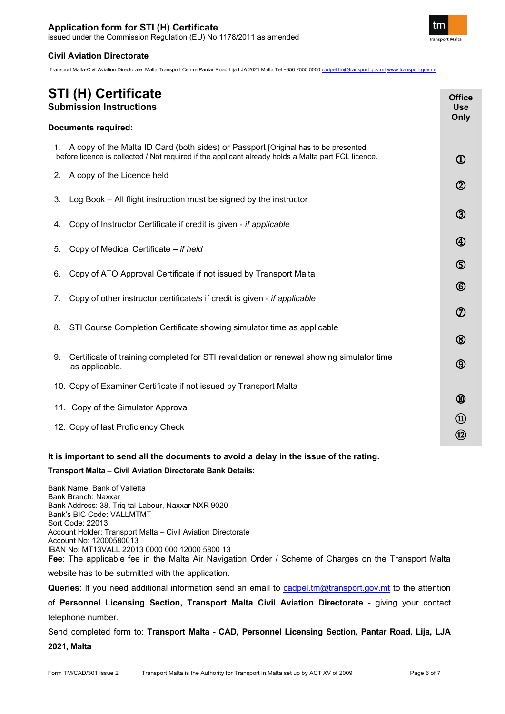

**Office Use Only**

 $\Omega$ 

 $^{\circledR}$ 

3

4

**ො** 

 $\circled$ 

⑦

 $\circledR$ 

 $\circledS$ 

 $\bm{\textcircled{\small{0}}}$ 

⑪ ⑫ ֖֖֖֖֖֖֖֖֖֖֖֖֖֖֪֪֪֪֦֖֧֪֪֪ׅ֖֖֖֖֖֧֧֪֪֪֪֪֪֪֪֪֪֪֪֪֪֪֪֪֪֪֪֪֪֪֪֪֪֪֪֪֪֚֚֚֚֚֚֚֚֚֚֚֚֚֚֚֚֚֚֚֚֚֚֬֝֝֝֩֝֓֞

## **Civil Aviation Directorate**

Transport Malta-Civil Aviation Directorate, Malta Transport Centre,Pantar Road,Lija LJA 2021 Malta.Tel:+356 2555 5000 [cadpel.tm@transport.gov.mt](mailto:cadpel.tm@transport.gov.mt) [www.transport.gov.mt](http://www.transport.gov.mt/)

# **STI (H) Certificate Submission Instructions**

#### **Documents required:**

1. A copy of the Malta ID Card (both sides) or Passport [Original has to be presented before licence is collected / Not required if the applicant already holds a Malta part FCL licence.

- 2. A copy of the Licence held
- 3. Log Book All flight instruction must be signed by the instructor
- 4. Copy of Instructor Certificate if credit is given *if applicable*
- 5. Copy of Medical Certificate *if held*
- 6. Copy of ATO Approval Certificate if not issued by Transport Malta
- 7. Copy of other instructor certificate/s if credit is given *if applicable*
- 8. STI Course Completion Certificate showing simulator time as applicable
- 9. Certificate of training completed for STI revalidation or renewal showing simulator time as applicable.
- 10. Copy of Examiner Certificate if not issued by Transport Malta
- 11. Copy of the Simulator Approval
- 12. Copy of last Proficiency Check

# **It is important to send all the documents to avoid a delay in the issue of the rating.**

#### **Transport Malta – Civil Aviation Directorate Bank Details:**

Bank Name: Bank of Valletta Bank Branch: Naxxar Bank Address: 38, Triq tal-Labour, Naxxar NXR 9020 Bank's BIC Code: VALLMTMT Sort Code: 22013 Account Holder: Transport Malta – Civil Aviation Directorate Account No: 12000580013 IBAN No: MT13VALL 22013 0000 000 12000 5800 13 **Fee**: The applicable fee in the Malta Air Navigation Order / Scheme of Charges on the Transport Malta

website has to be submitted with the application.

Queries: If you need additional information send an email to [cadpel.tm@transport.gov.mt](mailto:cadpel.tm@transport.gov.mt) to the attention

of **Personnel Licensing Section, Transport Malta Civil Aviation Directorate** - giving your contact telephone number.

Send completed form to: **Transport Malta - CAD, Personnel Licensing Section, Pantar Road, Lija, LJA 2021, Malta**